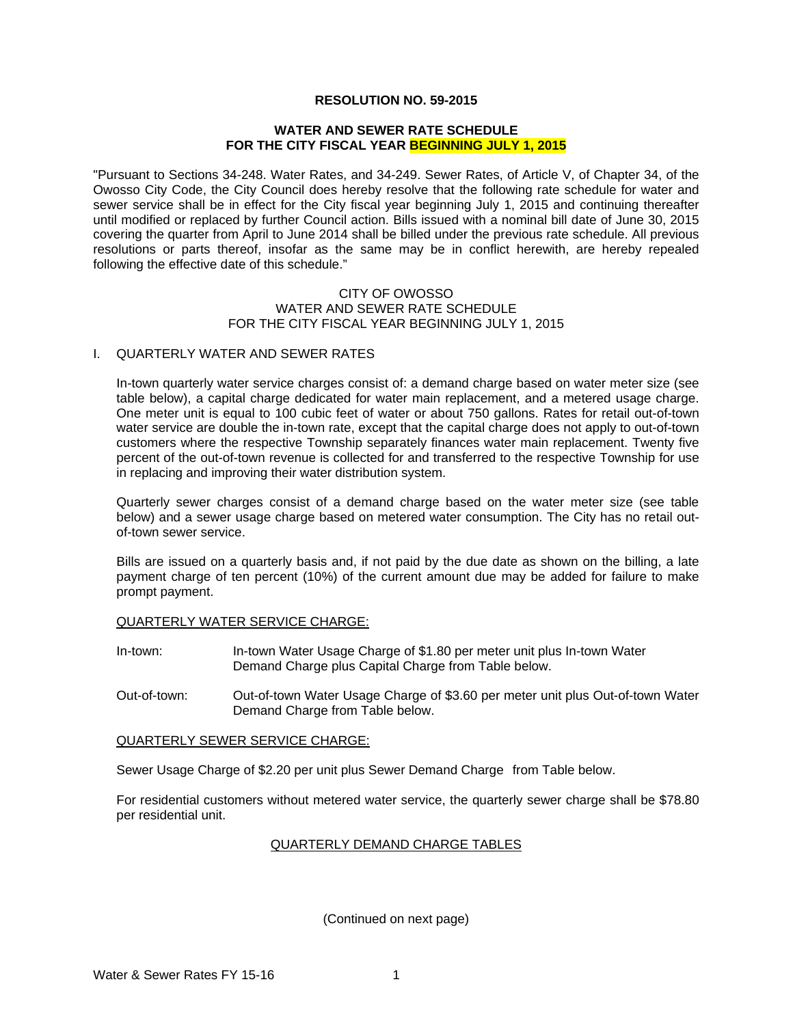# **RESOLUTION NO. 59-2015**

#### **WATER AND SEWER RATE SCHEDULE FOR THE CITY FISCAL YEAR BEGINNING JULY 1, 2015**

"Pursuant to Sections 34-248. Water Rates, and 34-249. Sewer Rates, of Article V, of Chapter 34, of the Owosso City Code, the City Council does hereby resolve that the following rate schedule for water and sewer service shall be in effect for the City fiscal year beginning July 1, 2015 and continuing thereafter until modified or replaced by further Council action. Bills issued with a nominal bill date of June 30, 2015 covering the quarter from April to June 2014 shall be billed under the previous rate schedule. All previous resolutions or parts thereof, insofar as the same may be in conflict herewith, are hereby repealed following the effective date of this schedule."

#### CITY OF OWOSSO WATER AND SEWER RATE SCHEDULE FOR THE CITY FISCAL YEAR BEGINNING JULY 1, 2015

#### I. QUARTERLY WATER AND SEWER RATES

In-town quarterly water service charges consist of: a demand charge based on water meter size (see table below), a capital charge dedicated for water main replacement, and a metered usage charge. One meter unit is equal to 100 cubic feet of water or about 750 gallons. Rates for retail out-of-town water service are double the in-town rate, except that the capital charge does not apply to out-of-town customers where the respective Township separately finances water main replacement. Twenty five percent of the out-of-town revenue is collected for and transferred to the respective Township for use in replacing and improving their water distribution system.

Quarterly sewer charges consist of a demand charge based on the water meter size (see table below) and a sewer usage charge based on metered water consumption. The City has no retail outof-town sewer service.

Bills are issued on a quarterly basis and, if not paid by the due date as shown on the billing, a late payment charge of ten percent (10%) of the current amount due may be added for failure to make prompt payment.

# QUARTERLY WATER SERVICE CHARGE:

- In-town: In-town Water Usage Charge of \$1.80 per meter unit plus In-town Water Demand Charge plus Capital Charge from Table below.
- Out-of-town: Out-of-town Water Usage Charge of \$3.60 per meter unit plus Out-of-town Water Demand Charge from Table below.

# QUARTERLY SEWER SERVICE CHARGE:

Sewer Usage Charge of \$2.20 per unit plus Sewer Demand Charge from Table below.

For residential customers without metered water service, the quarterly sewer charge shall be \$78.80 per residential unit.

# QUARTERLY DEMAND CHARGE TABLES

(Continued on next page)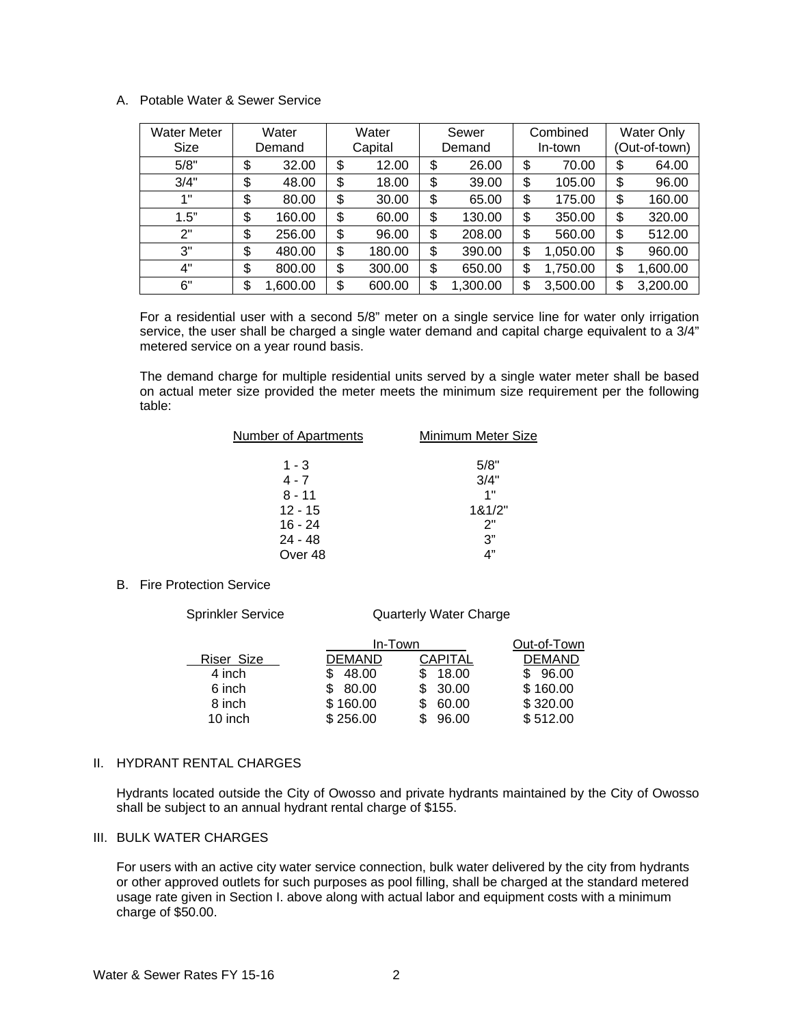# A. Potable Water & Sewer Service

| <b>Water Meter</b><br>Size | Water<br>Demand | Water<br>Capital |        | Sewer<br>Demand |          | Combined<br>In-town |          | <b>Water Only</b><br>(Out-of-town) |          |
|----------------------------|-----------------|------------------|--------|-----------------|----------|---------------------|----------|------------------------------------|----------|
| 5/8"                       | \$<br>32.00     | \$               | 12.00  | \$              | 26.00    | \$                  | 70.00    | \$                                 | 64.00    |
| 3/4"                       | \$<br>48.00     | \$               | 18.00  | \$              | 39.00    | \$                  | 105.00   | \$                                 | 96.00    |
| 1"                         | \$<br>80.00     | \$               | 30.00  | \$              | 65.00    | \$                  | 175.00   | \$                                 | 160.00   |
| 1.5"                       | \$<br>160.00    | \$               | 60.00  | \$              | 130.00   | \$                  | 350.00   | \$                                 | 320.00   |
| 2"                         | \$<br>256.00    | \$               | 96.00  | \$              | 208.00   | \$                  | 560.00   | \$                                 | 512.00   |
| 3"                         | \$<br>480.00    | \$               | 180.00 | \$              | 390.00   | \$                  | 1,050.00 | \$                                 | 960.00   |
| 4"                         | \$<br>800.00    | \$               | 300.00 | \$              | 650.00   | \$                  | 1,750.00 | \$                                 | 1,600.00 |
| 6"                         | \$<br>1,600.00  | \$               | 600.00 | \$              | 1,300.00 | \$                  | 3,500.00 | \$                                 | 3,200.00 |

For a residential user with a second 5/8" meter on a single service line for water only irrigation service, the user shall be charged a single water demand and capital charge equivalent to a 3/4" metered service on a year round basis.

The demand charge for multiple residential units served by a single water meter shall be based on actual meter size provided the meter meets the minimum size requirement per the following table:

| <b>Number of Apartments</b> | Minimum Meter Size |
|-----------------------------|--------------------|
|                             |                    |
| $1 - 3$                     | 5/8"               |
| $4 - 7$                     | 3/4"               |
| $8 - 11$                    | 1"                 |
| $12 - 15$                   | 181/2"             |
| $16 - 24$                   | 2"                 |
| $24 - 48$                   | 3"                 |
| Over 48                     | ת"                 |
|                             |                    |

# B. Fire Protection Service

Sprinkler Service **Quarterly Water Charge** 

|            | In-Town       | Out-of-Town    |               |  |
|------------|---------------|----------------|---------------|--|
| Riser Size | <b>DEMAND</b> | <b>CAPITAL</b> | <b>DEMAND</b> |  |
| 4 inch     | 48.00         | 18.00          | 96.00         |  |
| 6 inch     | 80.00         | 30.00          | \$160.00      |  |
| 8 inch     | \$160.00      | 60.00          | \$320.00      |  |
| 10 inch    | \$256.00      | 96.00          | \$512.00      |  |

# II. HYDRANT RENTAL CHARGES

Hydrants located outside the City of Owosso and private hydrants maintained by the City of Owosso shall be subject to an annual hydrant rental charge of \$155.

#### III. BULK WATER CHARGES

For users with an active city water service connection, bulk water delivered by the city from hydrants or other approved outlets for such purposes as pool filling, shall be charged at the standard metered usage rate given in Section I. above along with actual labor and equipment costs with a minimum charge of \$50.00.